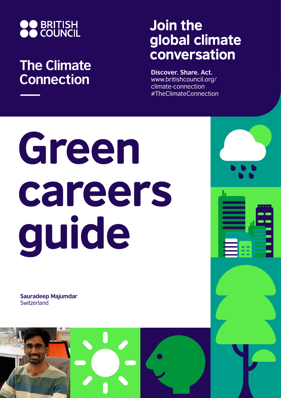

# **The Climate Connection**

# Join the global climate conversation

**Discover. Share. Act.** www.britishcouncil.org/ climate-connection #TheClimateConnection

# Green careers guide

**Sauradeep Majumdar** Switzerland